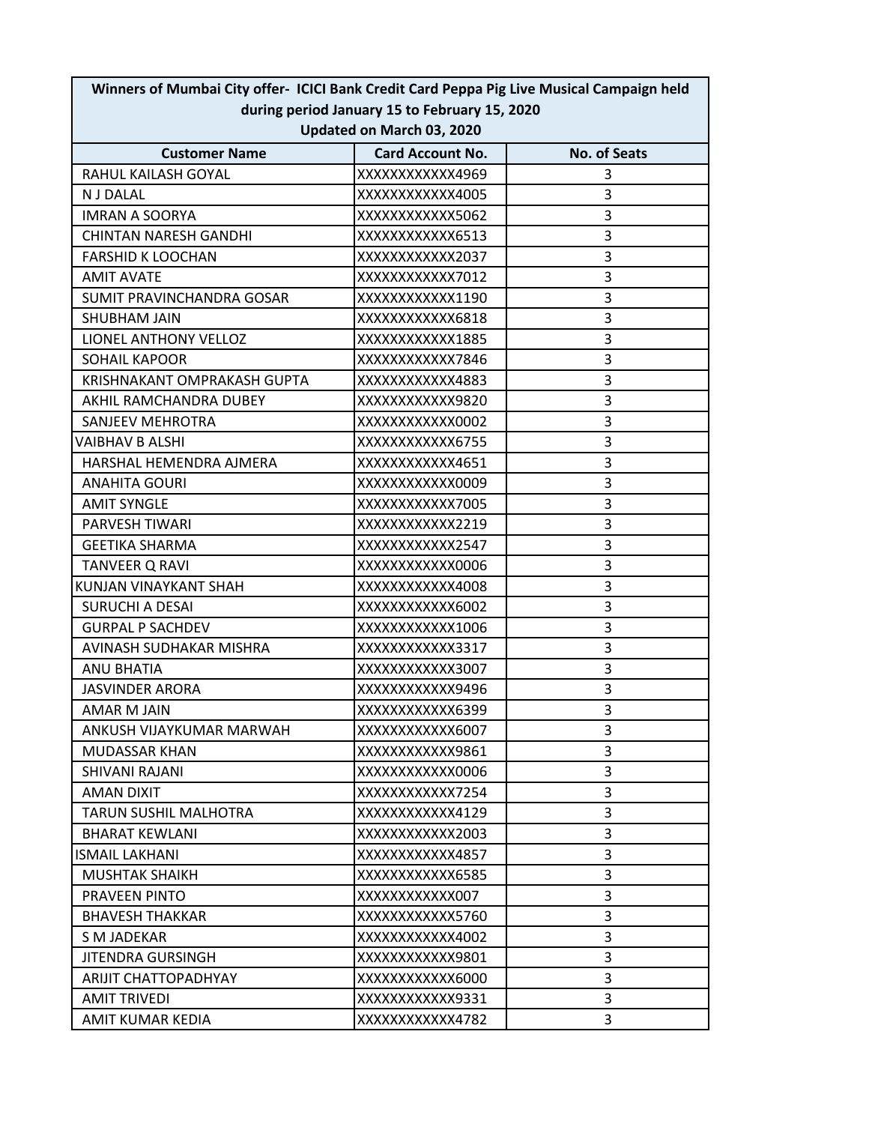| Winners of Mumbai City offer- ICICI Bank Credit Card Peppa Pig Live Musical Campaign held<br>during period January 15 to February 15, 2020<br>Updated on March 03, 2020 |                  |   |  |  |                      |                         |                     |
|-------------------------------------------------------------------------------------------------------------------------------------------------------------------------|------------------|---|--|--|----------------------|-------------------------|---------------------|
|                                                                                                                                                                         |                  |   |  |  | <b>Customer Name</b> | <b>Card Account No.</b> | <b>No. of Seats</b> |
|                                                                                                                                                                         |                  |   |  |  | RAHUL KAILASH GOYAL  | XXXXXXXXXXXX4969        | 3                   |
| N J DALAL                                                                                                                                                               | XXXXXXXXXXX4005  | 3 |  |  |                      |                         |                     |
| <b>IMRAN A SOORYA</b>                                                                                                                                                   | XXXXXXXXXXXX5062 | 3 |  |  |                      |                         |                     |
| <b>CHINTAN NARESH GANDHI</b>                                                                                                                                            | XXXXXXXXXXXX6513 | 3 |  |  |                      |                         |                     |
| <b>FARSHID K LOOCHAN</b>                                                                                                                                                | XXXXXXXXXXXX2037 | 3 |  |  |                      |                         |                     |
| <b>AMIT AVATE</b>                                                                                                                                                       | XXXXXXXXXXXX7012 | 3 |  |  |                      |                         |                     |
| SUMIT PRAVINCHANDRA GOSAR                                                                                                                                               | XXXXXXXXXXX1190  | 3 |  |  |                      |                         |                     |
| <b>SHUBHAM JAIN</b>                                                                                                                                                     | XXXXXXXXXXXX6818 | 3 |  |  |                      |                         |                     |
| LIONEL ANTHONY VELLOZ                                                                                                                                                   | XXXXXXXXXXXX1885 | 3 |  |  |                      |                         |                     |
| <b>SOHAIL KAPOOR</b>                                                                                                                                                    | XXXXXXXXXXXX7846 | 3 |  |  |                      |                         |                     |
| KRISHNAKANT OMPRAKASH GUPTA                                                                                                                                             | XXXXXXXXXXXX4883 | 3 |  |  |                      |                         |                     |
| AKHIL RAMCHANDRA DUBEY                                                                                                                                                  | XXXXXXXXXXXX9820 | 3 |  |  |                      |                         |                     |
| SANJEEV MEHROTRA                                                                                                                                                        | XXXXXXXXXXXX0002 | 3 |  |  |                      |                         |                     |
| VAIBHAV B ALSHI                                                                                                                                                         | XXXXXXXXXXXX6755 | 3 |  |  |                      |                         |                     |
| HARSHAL HEMENDRA AJMERA                                                                                                                                                 | XXXXXXXXXXX4651  | 3 |  |  |                      |                         |                     |
| <b>ANAHITA GOURI</b>                                                                                                                                                    | XXXXXXXXXXXX0009 | 3 |  |  |                      |                         |                     |
| <b>AMIT SYNGLE</b>                                                                                                                                                      | XXXXXXXXXXXX7005 | 3 |  |  |                      |                         |                     |
| PARVESH TIWARI                                                                                                                                                          | XXXXXXXXXXXX2219 | 3 |  |  |                      |                         |                     |
| <b>GEETIKA SHARMA</b>                                                                                                                                                   | XXXXXXXXXXXX2547 | 3 |  |  |                      |                         |                     |
| <b>TANVEER Q RAVI</b>                                                                                                                                                   | XXXXXXXXXXXX0006 | 3 |  |  |                      |                         |                     |
| KUNJAN VINAYKANT SHAH                                                                                                                                                   | XXXXXXXXXXX4008  | 3 |  |  |                      |                         |                     |
| <b>SURUCHI A DESAI</b>                                                                                                                                                  | XXXXXXXXXXXX6002 | 3 |  |  |                      |                         |                     |
| <b>GURPAL P SACHDEV</b>                                                                                                                                                 | XXXXXXXXXXX1006  | 3 |  |  |                      |                         |                     |
| AVINASH SUDHAKAR MISHRA                                                                                                                                                 | XXXXXXXXXXXX3317 | 3 |  |  |                      |                         |                     |
| ANU BHATIA                                                                                                                                                              | XXXXXXXXXXXX3007 | 3 |  |  |                      |                         |                     |
| <b>JASVINDER ARORA</b>                                                                                                                                                  | XXXXXXXXXXXX9496 | 3 |  |  |                      |                         |                     |
| AMAR M JAIN                                                                                                                                                             | XXXXXXXXXXXX6399 | 3 |  |  |                      |                         |                     |
| ANKUSH VIJAYKUMAR MARWAH                                                                                                                                                | XXXXXXXXXXXX6007 | 3 |  |  |                      |                         |                     |
| <b>MUDASSAR KHAN</b>                                                                                                                                                    | XXXXXXXXXXX9861  | 3 |  |  |                      |                         |                     |
| SHIVANI RAJANI                                                                                                                                                          | XXXXXXXXXXXX0006 | 3 |  |  |                      |                         |                     |
| AMAN DIXIT                                                                                                                                                              | XXXXXXXXXXX7254  | 3 |  |  |                      |                         |                     |
| <b>TARUN SUSHIL MALHOTRA</b>                                                                                                                                            | XXXXXXXXXXX4129  | 3 |  |  |                      |                         |                     |
| <b>BHARAT KEWLANI</b>                                                                                                                                                   | XXXXXXXXXXX2003  | 3 |  |  |                      |                         |                     |
| <b>ISMAIL LAKHANI</b>                                                                                                                                                   | XXXXXXXXXXX4857  | 3 |  |  |                      |                         |                     |
| <b>MUSHTAK SHAIKH</b>                                                                                                                                                   | XXXXXXXXXXX6585  | 3 |  |  |                      |                         |                     |
| <b>PRAVEEN PINTO</b>                                                                                                                                                    | XXXXXXXXXXXX007  | 3 |  |  |                      |                         |                     |
| <b>BHAVESH THAKKAR</b>                                                                                                                                                  | XXXXXXXXXXXX5760 | 3 |  |  |                      |                         |                     |
| S M JADEKAR                                                                                                                                                             | XXXXXXXXXXXX4002 | 3 |  |  |                      |                         |                     |
| JITENDRA GURSINGH                                                                                                                                                       | XXXXXXXXXXXX9801 | 3 |  |  |                      |                         |                     |
| ARIJIT CHATTOPADHYAY                                                                                                                                                    | XXXXXXXXXXXX6000 | 3 |  |  |                      |                         |                     |
| <b>AMIT TRIVEDI</b>                                                                                                                                                     | XXXXXXXXXXXX9331 | 3 |  |  |                      |                         |                     |
|                                                                                                                                                                         |                  |   |  |  |                      |                         |                     |
| AMIT KUMAR KEDIA                                                                                                                                                        | XXXXXXXXXXX4782  | 3 |  |  |                      |                         |                     |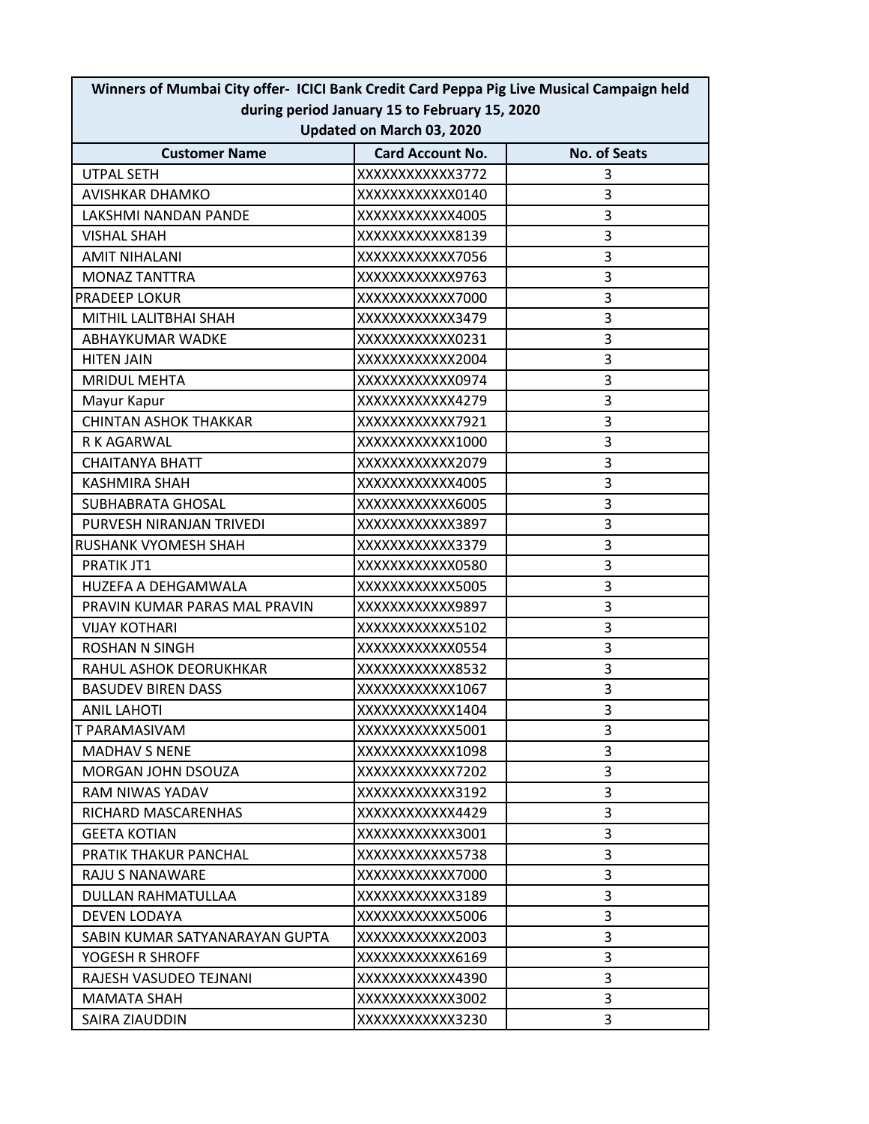| Winners of Mumbai City offer- ICICI Bank Credit Card Peppa Pig Live Musical Campaign held<br>during period January 15 to February 15, 2020<br>Updated on March 03, 2020 |                  |   |  |  |                      |                         |                     |
|-------------------------------------------------------------------------------------------------------------------------------------------------------------------------|------------------|---|--|--|----------------------|-------------------------|---------------------|
|                                                                                                                                                                         |                  |   |  |  | <b>Customer Name</b> | <b>Card Account No.</b> | <b>No. of Seats</b> |
|                                                                                                                                                                         |                  |   |  |  | <b>UTPAL SETH</b>    | XXXXXXXXXXXX3772        | 3                   |
| <b>AVISHKAR DHAMKO</b>                                                                                                                                                  | XXXXXXXXXXXX0140 | 3 |  |  |                      |                         |                     |
| LAKSHMI NANDAN PANDE                                                                                                                                                    | XXXXXXXXXXX4005  | 3 |  |  |                      |                         |                     |
| <b>VISHAL SHAH</b>                                                                                                                                                      | XXXXXXXXXXXX8139 | 3 |  |  |                      |                         |                     |
| <b>AMIT NIHALANI</b>                                                                                                                                                    | XXXXXXXXXXX7056  | 3 |  |  |                      |                         |                     |
| <b>MONAZ TANTTRA</b>                                                                                                                                                    | XXXXXXXXXXX9763  | 3 |  |  |                      |                         |                     |
| <b>PRADEEP LOKUR</b>                                                                                                                                                    | XXXXXXXXXXXX7000 | 3 |  |  |                      |                         |                     |
| MITHIL LALITBHAI SHAH                                                                                                                                                   | XXXXXXXXXXXX3479 | 3 |  |  |                      |                         |                     |
| ABHAYKUMAR WADKE                                                                                                                                                        | XXXXXXXXXXXX0231 | 3 |  |  |                      |                         |                     |
| <b>HITEN JAIN</b>                                                                                                                                                       | XXXXXXXXXXXX2004 | 3 |  |  |                      |                         |                     |
| <b>MRIDUL MEHTA</b>                                                                                                                                                     | XXXXXXXXXXXX0974 | 3 |  |  |                      |                         |                     |
| Mayur Kapur                                                                                                                                                             | XXXXXXXXXXX4279  | 3 |  |  |                      |                         |                     |
| <b>CHINTAN ASHOK THAKKAR</b>                                                                                                                                            | XXXXXXXXXXXX7921 | 3 |  |  |                      |                         |                     |
| R K AGARWAL                                                                                                                                                             | XXXXXXXXXXX1000  | 3 |  |  |                      |                         |                     |
| <b>CHAITANYA BHATT</b>                                                                                                                                                  | XXXXXXXXXXXX2079 | 3 |  |  |                      |                         |                     |
| <b>KASHMIRA SHAH</b>                                                                                                                                                    | XXXXXXXXXXX4005  | 3 |  |  |                      |                         |                     |
| <b>SUBHABRATA GHOSAL</b>                                                                                                                                                | XXXXXXXXXXXX6005 | 3 |  |  |                      |                         |                     |
| PURVESH NIRANJAN TRIVEDI                                                                                                                                                | XXXXXXXXXXXX3897 | 3 |  |  |                      |                         |                     |
| RUSHANK VYOMESH SHAH                                                                                                                                                    | XXXXXXXXXXXX3379 | 3 |  |  |                      |                         |                     |
| PRATIK JT1                                                                                                                                                              | XXXXXXXXXXXX0580 | 3 |  |  |                      |                         |                     |
| HUZEFA A DEHGAMWALA                                                                                                                                                     | XXXXXXXXXXXX5005 | 3 |  |  |                      |                         |                     |
| PRAVIN KUMAR PARAS MAL PRAVIN                                                                                                                                           | XXXXXXXXXXXX9897 | 3 |  |  |                      |                         |                     |
| <b>VIJAY KOTHARI</b>                                                                                                                                                    | XXXXXXXXXXXX5102 | 3 |  |  |                      |                         |                     |
| <b>ROSHAN N SINGH</b>                                                                                                                                                   | XXXXXXXXXXXX0554 | 3 |  |  |                      |                         |                     |
| RAHUL ASHOK DEORUKHKAR                                                                                                                                                  | XXXXXXXXXXXX8532 | 3 |  |  |                      |                         |                     |
| <b>BASUDEV BIREN DASS</b>                                                                                                                                               | XXXXXXXXXXXX1067 | 3 |  |  |                      |                         |                     |
| <b>ANIL LAHOTI</b>                                                                                                                                                      | XXXXXXXXXXX1404  | 3 |  |  |                      |                         |                     |
| T PARAMASIVAM                                                                                                                                                           | XXXXXXXXXXXX5001 | 3 |  |  |                      |                         |                     |
| <b>MADHAV S NENE</b>                                                                                                                                                    | XXXXXXXXXXX1098  | 3 |  |  |                      |                         |                     |
| <b>MORGAN JOHN DSOUZA</b>                                                                                                                                               | XXXXXXXXXXXX7202 | 3 |  |  |                      |                         |                     |
| RAM NIWAS YADAV                                                                                                                                                         | XXXXXXXXXXXX3192 | 3 |  |  |                      |                         |                     |
| RICHARD MASCARENHAS                                                                                                                                                     | XXXXXXXXXXX4429  | 3 |  |  |                      |                         |                     |
| <b>GEETA KOTIAN</b>                                                                                                                                                     | XXXXXXXXXXXX3001 | 3 |  |  |                      |                         |                     |
| PRATIK THAKUR PANCHAL                                                                                                                                                   | XXXXXXXXXXXX5738 | 3 |  |  |                      |                         |                     |
| RAJU S NANAWARE                                                                                                                                                         | XXXXXXXXXXXX7000 | 3 |  |  |                      |                         |                     |
| DULLAN RAHMATULLAA                                                                                                                                                      | XXXXXXXXXXXX3189 | 3 |  |  |                      |                         |                     |
| DEVEN LODAYA                                                                                                                                                            | XXXXXXXXXXXX5006 | 3 |  |  |                      |                         |                     |
| SABIN KUMAR SATYANARAYAN GUPTA                                                                                                                                          | XXXXXXXXXXX2003  | 3 |  |  |                      |                         |                     |
| YOGESH R SHROFF                                                                                                                                                         | XXXXXXXXXXXX6169 | 3 |  |  |                      |                         |                     |
| RAJESH VASUDEO TEJNANI                                                                                                                                                  | XXXXXXXXXXX4390  | 3 |  |  |                      |                         |                     |
| <b>MAMATA SHAH</b>                                                                                                                                                      | XXXXXXXXXXXX3002 | 3 |  |  |                      |                         |                     |
| SAIRA ZIAUDDIN                                                                                                                                                          | XXXXXXXXXXXX3230 | 3 |  |  |                      |                         |                     |
|                                                                                                                                                                         |                  |   |  |  |                      |                         |                     |